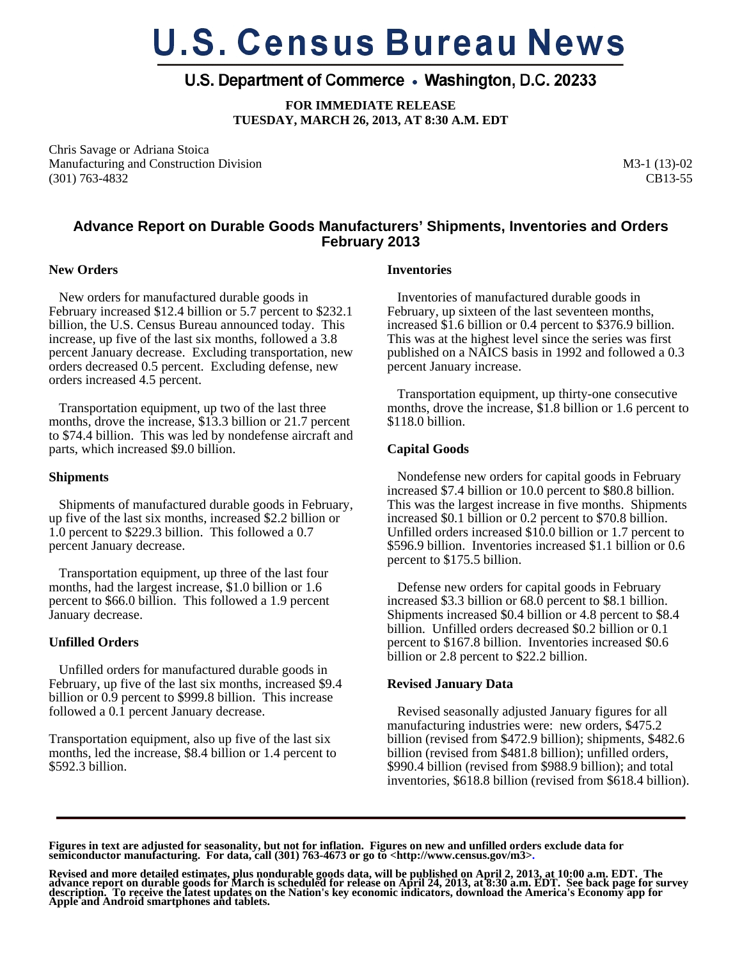# **U.S. Census Bureau News**

## U.S. Department of Commerce • Washington, D.C. 20233

**FOR IMMEDIATE RELEASE TUESDAY, MARCH 26, 2013, AT 8:30 A.M. EDT** 

Chris Savage or Adriana Stoica Manufacturing and Construction Division (301) 763-4832

M3-1 (13)-02 CB13-55

### **Advance Report on Durable Goods Manufacturers' Shipments, Inventories and Orders February 2013**

#### **New Orders**

 New orders for manufactured durable goods in February increased \$12.4 billion or 5.7 percent to \$232.1 billion, the U.S. Census Bureau announced today. This increase, up five of the last six months, followed a 3.8 percent January decrease. Excluding transportation, new orders decreased 0.5 percent. Excluding defense, new orders increased 4.5 percent.

 Transportation equipment, up two of the last three months, drove the increase, \$13.3 billion or 21.7 percent to \$74.4 billion. This was led by nondefense aircraft and parts, which increased \$9.0 billion.

#### **Shipments**

 Shipments of manufactured durable goods in February, up five of the last six months, increased \$2.2 billion or 1.0 percent to \$229.3 billion. This followed a 0.7 percent January decrease.

 Transportation equipment, up three of the last four months, had the largest increase, \$1.0 billion or 1.6 percent to \$66.0 billion. This followed a 1.9 percent January decrease.

#### **Unfilled Orders**

 Unfilled orders for manufactured durable goods in February, up five of the last six months, increased \$9.4 billion or 0.9 percent to \$999.8 billion. This increase followed a 0.1 percent January decrease.

Transportation equipment, also up five of the last six months, led the increase, \$8.4 billion or 1.4 percent to \$592.3 billion.

#### **Inventories**

 Inventories of manufactured durable goods in February, up sixteen of the last seventeen months, increased \$1.6 billion or 0.4 percent to \$376.9 billion. This was at the highest level since the series was first published on a NAICS basis in 1992 and followed a 0.3 percent January increase.

 Transportation equipment, up thirty-one consecutive months, drove the increase, \$1.8 billion or 1.6 percent to \$118.0 billion.

#### **Capital Goods**

 Nondefense new orders for capital goods in February increased \$7.4 billion or 10.0 percent to \$80.8 billion. This was the largest increase in five months. Shipments increased \$0.1 billion or 0.2 percent to \$70.8 billion. Unfilled orders increased \$10.0 billion or 1.7 percent to \$596.9 billion. Inventories increased \$1.1 billion or 0.6 percent to \$175.5 billion.

 Defense new orders for capital goods in February increased \$3.3 billion or 68.0 percent to \$8.1 billion. Shipments increased \$0.4 billion or 4.8 percent to \$8.4 billion. Unfilled orders decreased \$0.2 billion or 0.1 percent to \$167.8 billion. Inventories increased \$0.6 billion or 2.8 percent to \$22.2 billion.

#### **Revised January Data**

 Revised seasonally adjusted January figures for all manufacturing industries were: new orders, \$475.2 billion (revised from \$472.9 billion); shipments, \$482.6 billion (revised from \$481.8 billion); unfilled orders, \$990.4 billion (revised from \$988.9 billion); and total inventories, \$618.8 billion (revised from \$618.4 billion).

Figures in text are adjusted for seasonality, but not for inflation. Figures on new and unfilled orders exclude data for<br>semiconductor manufacturing. For data, call (301) 763-4673 or go to <http://www.census.gov/m3>.

Revised and more detailed estimates, plus nondurable goods data, will be published on April 2, 2013, at 10:00 a.m. EDT. The<br>advance report on durable goods for March is scheduled for release on April 24, 2013, at 8:30 a.m.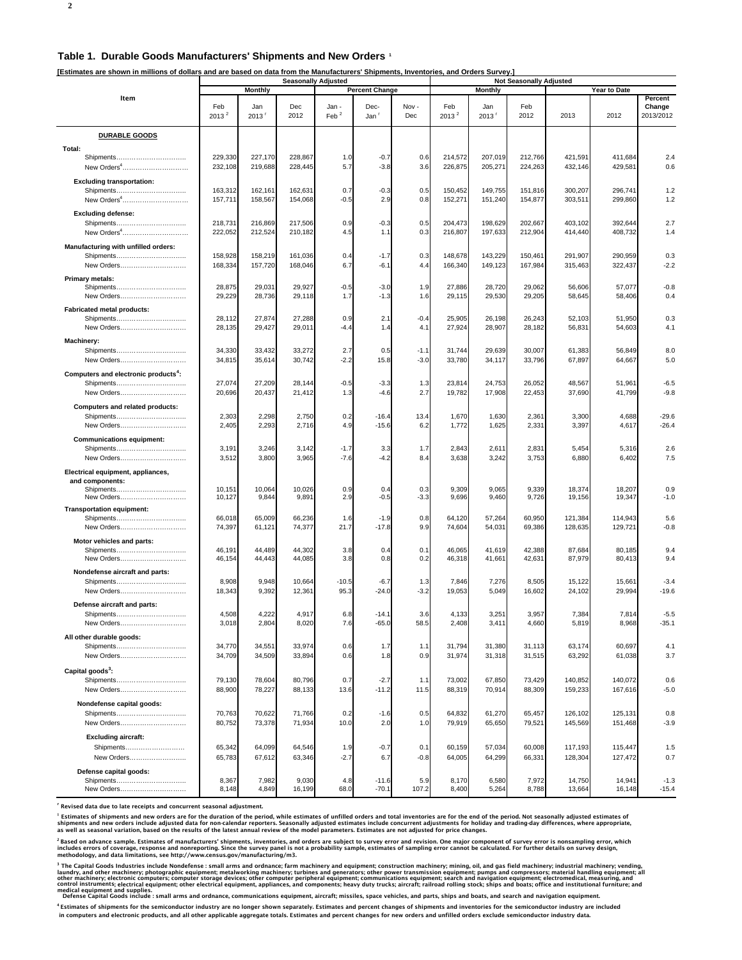#### **Table 1. Durable Goods Manufacturers' Shipments and New Orders 1**

**[Estimates are shown in millions of dollars and are based on data from the Manufacturers' Shipments, Inventories, and Orders Survey.]**

|                                                  | <b>Seasonally Adjusted</b> |                            |                    |                           |                          |                  | <b>Not Seasonally Adjusted</b> |                    |                    |                    |                    |                                |
|--------------------------------------------------|----------------------------|----------------------------|--------------------|---------------------------|--------------------------|------------------|--------------------------------|--------------------|--------------------|--------------------|--------------------|--------------------------------|
|                                                  |                            | Monthly                    |                    |                           | <b>Percent Change</b>    |                  |                                | Monthly            |                    |                    | Year to Date       |                                |
| Item                                             | Feb<br>2013 <sup>2</sup>   | Jan<br>$2013$ <sup>r</sup> | Dec<br>2012        | Jan -<br>$\mathsf{Feb}^2$ | Dec-<br>Jan <sup>'</sup> | Nov-<br>Dec      | Feb<br>2013 <sup>2</sup>       | Jan<br>2013        | Feb<br>2012        | 2013               | 2012               | Percent<br>Change<br>2013/2012 |
| <b>DURABLE GOODS</b>                             |                            |                            |                    |                           |                          |                  |                                |                    |                    |                    |                    |                                |
| Total:                                           |                            |                            |                    |                           |                          |                  |                                |                    |                    |                    |                    |                                |
| Shipments<br>New Orders <sup>4</sup>             | 229,330<br>232,108         | 227,170<br>219,688         | 228,867<br>228,445 | 1.0<br>5.7                | $-0.7$<br>$-3.8$         | 0.6<br>3.6       | 214,572<br>226,875             | 207,019<br>205,271 | 212,766<br>224,263 | 421,591<br>432,146 | 411.684<br>429,581 | 2.4<br>0.6                     |
| <b>Excluding transportation:</b>                 |                            |                            |                    |                           |                          |                  |                                |                    |                    |                    |                    |                                |
| Shipments                                        | 163,312                    | 162,161                    | 162,631            | 0.7                       | $-0.3$                   | 0.5              | 150,452                        | 149,755            | 151,816            | 300,207            | 296,741            | 1.2                            |
| New Orders <sup>4</sup>                          | 157,711                    | 158,567                    | 154,068            | $-0.5$                    | 2.9                      | 0.8              | 152,271                        | 151,240            | 154,877            | 303,511            | 299,860            | 1.2                            |
| <b>Excluding defense:</b>                        |                            |                            |                    |                           |                          |                  |                                |                    |                    |                    |                    |                                |
| Shipments                                        | 218,731                    | 216,869                    | 217,506            | 0.9                       | $-0.3$                   | 0.5              | 204,473                        | 198,629            | 202,667            | 403,102            | 392,644            | 2.7                            |
| New Orders <sup>4</sup>                          | 222,052                    | 212,524                    | 210,182            | 4.5                       | 1.1                      | 0.3              | 216,807                        | 197,633            | 212,904            | 414,440            | 408,732            | 1.4                            |
| Manufacturing with unfilled orders:              |                            |                            |                    |                           |                          |                  |                                |                    |                    |                    |                    |                                |
| Shipments                                        | 158,928                    | 158,219                    | 161,036            | 0.4                       | $-1.7$                   | 0.3              | 148,678                        | 143,229            | 150,461            | 291,907            | 290,959            | 0.3                            |
| New Orders                                       | 168,334                    | 157,720                    | 168,046            | 6.7                       | -6.1                     | 4.4              | 166,340                        | 149,123            | 167,984            | 315,463            | 322,437            | $-2.2$                         |
| <b>Primary metals:</b>                           |                            |                            |                    |                           |                          |                  |                                |                    |                    |                    |                    |                                |
| Shipments                                        | 28,875                     | 29,031                     | 29,927             | $-0.5$                    | $-3.0$                   | 1.9              | 27,886                         | 28,720             | 29,062             | 56,606             | 57,077             | $-0.8$                         |
| New Orders                                       | 29,229                     | 28,736                     | 29,118             | 1.7                       | $-1.3$                   | 1.6              | 29,115                         | 29,530             | 29,205             | 58,645             | 58,406             | 0.4                            |
| <b>Fabricated metal products:</b>                |                            |                            |                    |                           |                          |                  |                                |                    |                    |                    |                    |                                |
| Shipments                                        | 28,112                     | 27,874                     | 27,288             | 0.9                       | 2.1                      | $-0.4$           | 25,905                         | 26,198             | 26,243             | 52,103             | 51,950             | 0.3                            |
| New Orders                                       | 28,135                     | 29,427                     | 29,011             | $-4.4$                    | 1.4                      | 4.1              | 27,924                         | 28,907             | 28,182             | 56,831             | 54,603             | 4.1                            |
| Machinery:                                       |                            |                            |                    |                           |                          |                  |                                |                    |                    |                    |                    |                                |
| Shipments<br>New Orders                          | 34,330<br>34,815           | 33,432<br>35,614           | 33,272<br>30,742   | 2.7<br>$-2.2$             | 0.5<br>15.8              | $-1.1$<br>$-3.0$ | 31,744<br>33,780               | 29,639<br>34,117   | 30,007<br>33,796   | 61,383<br>67,897   | 56,849<br>64,667   | 8.0<br>5.0                     |
|                                                  |                            |                            |                    |                           |                          |                  |                                |                    |                    |                    |                    |                                |
| Computers and electronic products <sup>4</sup> : |                            |                            |                    |                           |                          |                  |                                |                    |                    |                    |                    |                                |
| Shipments                                        | 27,074                     | 27,209<br>20,437           | 28,144             | $-0.5$                    | $-3.3$                   | 1.3<br>2.7       | 23,814                         | 24,753             | 26,052             | 48,567             | 51,961             | $-6.5$<br>$-9.8$               |
| New Orders                                       | 20,696                     |                            | 21,412             | 1.3                       | -4.6                     |                  | 19,782                         | 17,908             | 22,453             | 37,690             | 41,799             |                                |
| Computers and related products:                  |                            |                            |                    |                           |                          |                  |                                |                    |                    |                    |                    |                                |
| Shipments                                        | 2,303                      | 2,298                      | 2,750              | 0.2<br>4.9                | $-16.4$                  | 13.4             | 1,670                          | 1,630              | 2,361              | 3,300              | 4,688              | $-29.6$                        |
| New Orders                                       | 2,405                      | 2,293                      | 2,716              |                           | $-15.6$                  | 6.2              | 1,772                          | 1,625              | 2,331              | 3,397              | 4,617              | $-26.4$                        |
| <b>Communications equipment:</b>                 |                            |                            |                    |                           |                          |                  |                                |                    |                    |                    |                    |                                |
| Shipments<br>New Orders                          | 3,191<br>3,512             | 3,246<br>3,800             | 3,142<br>3,965     | $-1.7$<br>$-7.6$          | 3.3<br>$-4.2$            | 1.7<br>8.4       | 2,843<br>3,638                 | 2,611<br>3,242     | 2,831<br>3,753     | 5,454<br>6,880     | 5,316<br>6,402     | 2.6<br>7.5                     |
|                                                  |                            |                            |                    |                           |                          |                  |                                |                    |                    |                    |                    |                                |
| Electrical equipment, appliances,                |                            |                            |                    |                           |                          |                  |                                |                    |                    |                    |                    |                                |
| and components:<br>Shipments                     | 10,151                     | 10,064                     | 10,026             | 0.9                       | 0.4                      | 0.3              | 9,309                          | 9,065              | 9,339              | 18,374             | 18,207             | 0.9                            |
| New Orders                                       | 10,127                     | 9,844                      | 9,891              | 2.9                       | $-0.5$                   | $-3.3$           | 9,696                          | 9,460              | 9,726              | 19,156             | 19,347             | $-1.0$                         |
| <b>Transportation equipment:</b>                 |                            |                            |                    |                           |                          |                  |                                |                    |                    |                    |                    |                                |
| Shipments                                        | 66,018                     | 65,009                     | 66,236             | 1.6                       | -1.9                     | 0.8              | 64,120                         | 57,264             | 60,950             | 121,384            | 114,943            | 5.6                            |
| New Orders                                       | 74,397                     | 61,121                     | 74,377             | 21.7                      | $-17.8$                  | 9.9              | 74,604                         | 54,031             | 69,386             | 128,635            | 129,721            | $-0.8$                         |
| Motor vehicles and parts:                        |                            |                            |                    |                           |                          |                  |                                |                    |                    |                    |                    |                                |
|                                                  | 46,191                     | 44,489                     | 44,302             | 3.8                       | 0.4                      | 0.1              | 46,065                         | 41,619             | 42,388             | 87,684             | 80,185             | 9.4                            |
| New Orders                                       | 46,154                     | 44,443                     | 44,085             | 3.8                       | 0.8                      | 0.2              | 46,318                         | 41,661             | 42,631             | 87,979             | 80,413             | 9.4                            |
| Nondefense aircraft and parts:                   |                            |                            |                    |                           |                          |                  |                                |                    |                    |                    |                    |                                |
| Shipments<br>New Orders                          | 8,908<br>18,343            | 9,948<br>9,392             | 10,664<br>12,361   | $-10.5$<br>95.3           | $-6.7$<br>$-24.0$        | 1.3<br>$-3.2$    | 7,846<br>19,053                | 7,276<br>5,049     | 8,505<br>16,602    | 15,122<br>24,102   | 15,661<br>29,994   | $-3.4$<br>$-19.6$              |
|                                                  |                            |                            |                    |                           |                          |                  |                                |                    |                    |                    |                    |                                |
| Defense aircraft and parts:                      |                            |                            |                    |                           |                          |                  |                                |                    |                    |                    |                    |                                |
| Shipments<br>New Orders                          | 4,508<br>3,018             | 4,222<br>2,804             | 4,917<br>8,020     | 6.8<br>7.6                | $-14.1$<br>$-65.0$       | 3.6<br>58.5      | 4,133<br>2,408                 | 3,251<br>3,411     | 3,957<br>4,660     | 7,384<br>5,819     | 7,814<br>8,968     | $-5.5$<br>$-35.1$              |
|                                                  |                            |                            |                    |                           |                          |                  |                                |                    |                    |                    |                    |                                |
| All other durable goods:<br>Shipments            | 34,770                     | 34,551                     | 33,974             | 0.6                       | 1.7                      |                  | 31,794                         | 31,380             | 31,113             | 63,174             | 60,697             |                                |
| New Orders                                       | 34,709                     | 34,509                     | 33,894             | 0.6                       | 1.8                      | 1.1<br>0.9       | 31,974                         | 31,318             | 31,515             | 63,292             | 61,038             | 4.1<br>3.7                     |
|                                                  |                            |                            |                    |                           |                          |                  |                                |                    |                    |                    |                    |                                |
| Capital goods <sup>3</sup> :                     |                            |                            |                    |                           |                          |                  |                                |                    |                    |                    |                    |                                |
| Shipments<br>New Orders                          | 79,130<br>88,900           | 78,604<br>78,227           | 80,796<br>88,133   | 0.7<br>13.6               | $-2.7$<br>$-11.2$        | 1.1<br>11.5      | 73,002<br>88,319               | 67,850<br>70,914   | 73,429<br>88,309   | 140,852<br>159,233 | 140,072<br>167,616 | 0.6<br>$-5.0$                  |
|                                                  |                            |                            |                    |                           |                          |                  |                                |                    |                    |                    |                    |                                |
| Nondefense capital goods:                        |                            |                            |                    |                           |                          |                  |                                |                    |                    |                    |                    |                                |
| Shipments                                        | 70,763                     | 70,622                     | 71,766             | 0.2<br>10.0               | $-1.6$                   | 0.5              | 64,832                         | 61,270             | 65,457             | 126,102            | 125,131            | 0.8                            |
| New Orders                                       | 80,752                     | 73,378                     | 71,934             |                           | 2.0                      | 1.0              | 79,919                         | 65,650             | 79,521             | 145,569            | 151,468            | $-3.9$                         |
| <b>Excluding aircraft:</b>                       |                            |                            |                    |                           |                          |                  |                                |                    |                    |                    |                    |                                |
| Shipments                                        | 65,342                     | 64,099                     | 64,546             | 1.9                       | $-0.7$                   | 0.1              | 60,159                         | 57,034             | 60,008             | 117,193            | 115,447            | 1.5                            |
| New Orders                                       | 65,783                     | 67,612                     | 63,346             | $-2.7$                    | 6.7                      | $-0.8$           | 64,005                         | 64,299             | 66,331             | 128,304            | 127,472            | 0.7                            |
| Defense capital goods:                           |                            |                            |                    |                           |                          |                  |                                |                    |                    |                    |                    |                                |
| Shipments                                        | 8,367<br>8,148             | 7,982<br>4,849             | 9,030<br>16,199    | 4.8<br>68.C               | $-11.6$<br>$-70.7$       | 5.9<br>107.2     | 8,170<br>8,400                 | 6,580<br>5,264     | 7,972<br>8,788     | 14,750<br>13,664   | 14,941<br>16,148   | $-1.3$<br>$-15.4$              |
| New Orders                                       |                            |                            |                    |                           |                          |                  |                                |                    |                    |                    |                    |                                |

r Revised data due to late receipts and concurrent seasonal adjustment.

<sup>1</sup> Estimates of shipments and new orders are for the duration of the period, while estimates of unfilled orders and total inventories are for the end of the period. Not seasonally adjusted estimates of<br>shipments and new o

<sup>2</sup> Based on advance sample. Estimates of manufacturers' shipments, inventories, and orders are subject to survey error and revision. One major component of survey error is nonsampling error, which<br>includes errors of cover

<sup>3</sup> The Capital Goods Industries include Nondefense : small arms and ordnance not metally made provide the masked incomposing in the includent and increased in a field machinery; industrial mading equipment; all mading equ medical equipment and supplies.<br>Defense Capital Goods include : small arms and ordnance, come

.<br>nications equipment, aircraft; missiles, space vehicles, and parts, ships and boats, and search and navigation equipment. 4 Estimates of shipments for the semiconductor industry are no longer shown separately. Estimates and percent changes of shipments and inventories for the semiconductor industry are included

in computers and electronic products, and all other applicable aggregate totals. Estimates and percent changes for new orders and unfilled orders exclude semiconductor industry data.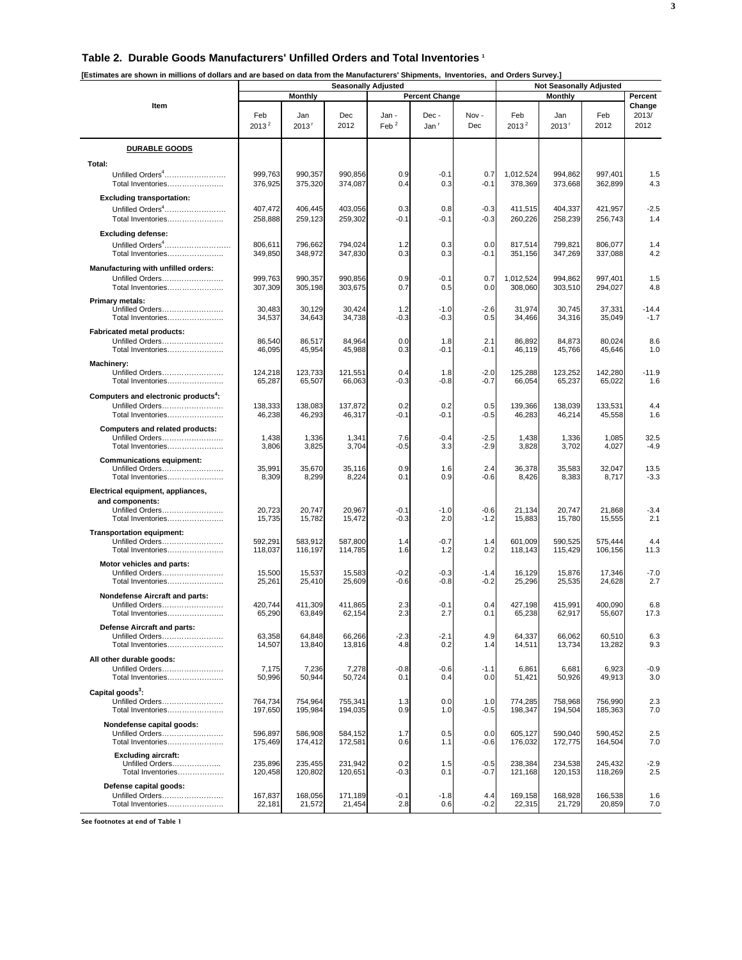#### **Table 2. Durable Goods Manufacturers' Unfilled Orders and Total Inventories 1**

| [Estimates are shown in millions of dollars and are based on data from the Manufacturers' Shipments, Inventories, and Orders Survey.] |                                         |                            | <b>Seasonally Adjusted</b> | <b>Not Seasonally Adjusted</b> |                          |                  |                      |                            |                    |                         |
|---------------------------------------------------------------------------------------------------------------------------------------|-----------------------------------------|----------------------------|----------------------------|--------------------------------|--------------------------|------------------|----------------------|----------------------------|--------------------|-------------------------|
|                                                                                                                                       | <b>Monthly</b><br><b>Percent Change</b> |                            |                            |                                |                          |                  |                      | Percent                    |                    |                         |
| Item                                                                                                                                  | Feb<br>$2013^2$                         | Jan<br>$2013$ <sup>r</sup> | Dec<br>2012                | Jan -<br>Feb $^2$              | Dec-<br>Jan <sup>r</sup> | Nov-<br>Dec      | Feb<br>$2013^2$      | Jan<br>$2013$ <sup>r</sup> | Feb<br>2012        | Change<br>2013/<br>2012 |
| <b>DURABLE GOODS</b>                                                                                                                  |                                         |                            |                            |                                |                          |                  |                      |                            |                    |                         |
| Total:                                                                                                                                |                                         |                            |                            |                                |                          |                  |                      |                            |                    |                         |
| Unfilled Orders <sup>4</sup><br>Total Inventories                                                                                     | 999,763<br>376,925                      | 990,357<br>375,320         | 990,856<br>374,087         | 0.9<br>0.4                     | $-0.1$<br>0.3            | 0.7<br>$-0.1$    | 1,012,524<br>378,369 | 994,862<br>373,668         | 997,401<br>362,899 | 1.5<br>4.3              |
| <b>Excluding transportation:</b>                                                                                                      |                                         |                            |                            |                                |                          |                  |                      |                            |                    |                         |
| Unfilled Orders <sup>4</sup><br>Total Inventories                                                                                     | 407,472<br>258,888                      | 406,445<br>259,123         | 403,056<br>259,302         | 0.3<br>$-0.1$                  | 0.8<br>$-0.1$            | $-0.3$<br>$-0.3$ | 411,515<br>260,226   | 404,337<br>258,239         | 421,957<br>256,743 | $-2.5$<br>1.4           |
| <b>Excluding defense:</b><br>Unfilled Orders <sup>4</sup><br>Total Inventories                                                        | 806,611<br>349,850                      | 796,662<br>348,972         | 794,024<br>347,830         | 1.2<br>0.3                     | 0.3<br>0.3               | 0.0<br>$-0.1$    | 817,514<br>351,156   | 799,821<br>347,269         | 806,077<br>337,088 | 1.4<br>4.2              |
| Manufacturing with unfilled orders:<br>Unfilled Orders<br>Total Inventories                                                           | 999,763<br>307,309                      | 990,357<br>305,198         | 990,856<br>303,675         | 0.9<br>0.7                     | $-0.1$<br>0.5            | 0.7<br>0.0       | 1,012,524<br>308,060 | 994,862<br>303,510         | 997,401<br>294,027 | 1.5<br>4.8              |
| <b>Primary metals:</b><br>Unfilled Orders<br>Total Inventories                                                                        | 30,483<br>34,537                        | 30,129<br>34,643           | 30,424<br>34,738           | 1.2<br>-0.3                    | $-1.0$<br>$-0.3$         | $-2.6$<br>0.5    | 31,974<br>34,466     | 30,745<br>34,316           | 37,331<br>35,049   | $-14.4$<br>$-1.7$       |
| <b>Fabricated metal products:</b><br>Unfilled Orders<br>Total Inventories                                                             | 86,540<br>46,095                        | 86.517<br>45,954           | 84.964<br>45,988           | 0.0<br>0.3                     | 1.8<br>$-0.1$            | 2.1<br>-0.1      | 86,892<br>46,119     | 84,873<br>45,766           | 80,024<br>45,646   | 8.6<br>1.0              |
| Machinery:<br>Unfilled Orders<br>Total Inventories                                                                                    | 124,218<br>65,287                       | 123,733<br>65,507          | 121,551<br>66,063          | 0.4<br>-0.3                    | 1.8<br>$-0.8$            | $-2.0$<br>$-0.7$ | 125,288<br>66,054    | 123,252<br>65,237          | 142,280<br>65,022  | $-11.9$<br>1.6          |
| Computers and electronic products <sup>4</sup> :<br>Unfilled Orders<br>Total Inventories                                              | 138,333<br>46,238                       | 138,083<br>46,293          | 137,872<br>46,317          | 0.2<br>$-0.1$                  | 0.2<br>$-0.1$            | 0.5<br>-0.5      | 139,366<br>46,283    | 138,039<br>46,214          | 133,531<br>45,558  | 4.4<br>1.6              |
| Computers and related products:<br>Unfilled Orders<br>Total Inventories                                                               | 1,438<br>3,806                          | 1,336<br>3,825             | 1,341<br>3,704             | 7.6<br>$-0.5$                  | $-0.4$<br>3.3            | $-2.5$<br>$-2.9$ | 1,438<br>3,828       | 1,336<br>3,702             | 1,085<br>4,027     | 32.5<br>$-4.9$          |
| <b>Communications equipment:</b><br>Unfilled Orders<br>Total Inventories                                                              | 35,991<br>8,309                         | 35,670<br>8,299            | 35,116<br>8,224            | 0.9<br>0.1                     | 1.6<br>0.9               | 2.4<br>$-0.6$    | 36,378<br>8,426      | 35,583<br>8,383            | 32,047<br>8,717    | 13.5<br>$-3.3$          |
| Electrical equipment, appliances,                                                                                                     |                                         |                            |                            |                                |                          |                  |                      |                            |                    |                         |
| and components:<br>Unfilled Orders<br>Total Inventories                                                                               | 20,723<br>15,735                        | 20,747<br>15,782           | 20,967<br>15,472           | $-0.1$<br>$-0.3$               | $-1.0$<br>2.0            | $-0.6$<br>$-1.2$ | 21,134<br>15,883     | 20,747<br>15,780           | 21,868<br>15,555   | $-3.4$<br>2.1           |
| Transportation equipment:<br>Unfilled Orders<br>Total Inventories                                                                     | 592,291<br>118,037                      | 583,912<br>116,197         | 587,800<br>114,785         | 1.4<br>1.6                     | $-0.7$<br>1.2            | 1.4<br>0.2       | 601,009<br>118,143   | 590.525<br>115,429         | 575,444<br>106,156 | 4.4<br>11.3             |
| Motor vehicles and parts:<br>Unfilled Orders<br>Total Inventories                                                                     | 15,500<br>25,261                        | 15,537<br>25,410           | 15,583<br>25,609           | $-0.2$<br>$-0.6$               | $-0.3$<br>$-0.8$         | $-1.4$<br>$-0.2$ | 16,129<br>25,296     | 15,876<br>25,535           | 17,346<br>24,628   | $-7.0$<br>2.7           |
| <b>Nondefense Aircraft and parts:</b><br>Unfilled Orders<br>Total Inventories                                                         | 420,744<br>65,290                       | 411,309<br>63,849          | 411,865<br>62,154          | 2.3<br>2.3                     | $-0.1$<br>2.7            | 0.4<br>0.1       | 427,198<br>65,238    | 415,991<br>62,917          | 400,090<br>55,607  | 6.8<br>17.3             |
| Defense Aircraft and parts:<br>Unfilled Orders<br>Total Inventories                                                                   | 63,358<br>14,507                        | 64,848<br>13,840           | 66,266<br>13,816           | $-2.3$<br>4.8                  | $-2.1$<br>0.2            | 4.9<br>1.4       | 64,337<br>14,511     | 66,062<br>13,734           | 60,510<br>13,282   | 6.3<br>9.3              |
| All other durable goods:<br>Unfilled Orders<br>Total Inventories                                                                      | 7,175<br>50,996                         | 7,236<br>50,944            | 7,278<br>50,724            | $-0.8$<br>0.1                  | $-0.6$<br>0.4            | $-1.1$<br>0.0    | 6,861<br>51,421      | 6,681<br>50,926            | 6,923<br>49,913    | $-0.9$<br>3.0           |
| Capital goods <sup>3</sup> :<br>Unfilled Orders<br>Total Inventories                                                                  | 764,734<br>197,650                      | 754,964<br>195,984         | 755,341<br>194,035         | 1.3<br>0.9                     | 0.0<br>1.0               | 1.0<br>$-0.5$    | 774,285<br>198,347   | 758,968<br>194,504         | 756,990<br>185,363 | 2.3<br>7.0              |
| Nondefense capital goods:<br>Unfilled Orders<br>Total Inventories                                                                     | 596.897<br>175,469                      | 586,908<br>174,412         | 584,152<br>172,581         | 1.7<br>0.6                     | 0.5<br>1.1               | 0.0<br>$-0.6$    | 605,127<br>176,032   | 590,040<br>172,775         | 590,452<br>164,504 | 2.5<br>7.0              |
| <b>Excluding aircraft:</b><br>Unfilled Orders<br>Total Inventories                                                                    | 235,896<br>120,458                      | 235,455<br>120,802         | 231,942<br>120,651         | 0.2<br>$-0.3$                  | 1.5<br>0.1               | $-0.5$<br>-0.7   | 238,384<br>121,168   | 234,538<br>120,153         | 245,432<br>118,269 | $-2.9$<br>2.5           |
| Defense capital goods:<br>Unfilled Orders<br>Total Inventories                                                                        | 167,837<br>22,181                       | 168,056<br>21,572          | 171,189<br>21,454          | $-0.1$<br>2.8                  | $-1.8$<br>0.6            | 4.4<br>$-0.2$    | 169,158<br>22,315    | 168,928<br>21,729          | 166,538<br>20,859  | 1.6<br>7.0              |

See footnotes at end of Table 1